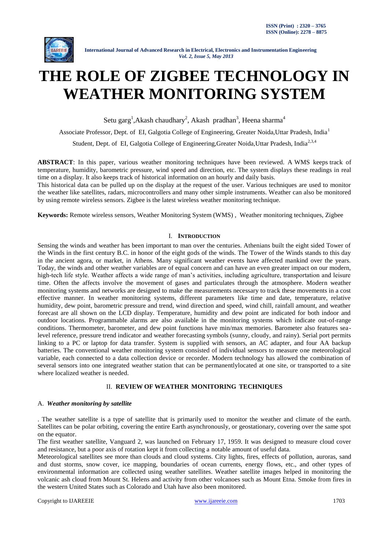

# **THE ROLE OF ZIGBEE TECHNOLOGY IN WEATHER MONITORING SYSTEM**

Setu garg<sup>1</sup>, Akash chaudhary<sup>2</sup>, Akash pradhan<sup>3</sup>, Heena sharma<sup>4</sup>

Associate Professor, Dept. of EI, Galgotia College of Engineering, Greater Noida,Uttar Pradesh, India<sup>1</sup>

Student, Dept. of EI, Galgotia College of Engineering, Greater Noida, Uttar Pradesh, India<sup>2,3,4</sup>

**ABSTRACT**: In this paper, various weather monitoring techniques have been reviewed. A WMS keeps track of temperature, humidity, barometric pressure, wind speed and direction, etc. The system displays these readings in real time on a display. It also keeps track of historical information on an hourly and daily basis.

This historical data can be pulled up on the display at the request of the user. Various techniques are used to monitor the weather like satellites, radars, microcontrollers and many other simple instruments. Weather can also be monitored by using remote wireless sensors. Zigbee is the latest wireless weather monitoring technique.

**Keywords:** Remote wireless sensors, Weather Monitoring System (WMS) , Weather monitoring techniques, Zigbee

# I. **INTRODUCTION**

Sensing the winds and weather has been important to man over the centuries. Athenians built the eight sided Tower of the Winds in the first century B.C. in honor of the eight gods of the winds. The Tower of the Winds stands to this day in the ancient agora, or market, in Athens. Many significant weather events have affected mankind over the years. Today, the winds and other weather variables are of equal concern and can have an even greater impact on our modern, high-tech life style. Weather affects a wide range of man's activities, including agriculture, transportation and leisure time. Often the affects involve the movement of gases and particulates through the atmosphere. Modern weather monitoring systems and networks are designed to make the measurements necessary to track these movements in a cost effective manner. In weather monitoring systems, different parameters like time and date, temperature, relative humidity, dew point, barometric pressure and trend, wind direction and speed, wind chill, rainfall amount, and weather forecast are all shown on the LCD display. Temperature, humidity and dew point are indicated for both indoor and outdoor locations. Programmable alarms are also available in the monitoring systems which indicate out-of-range conditions. Thermometer, barometer, and dew point functions have min/max memories. Barometer also features sealevel reference, pressure trend indicator and weather forecasting symbols (sunny, cloudy, and rainy). Serial port permits linking to a PC or laptop for data transfer. System is supplied with sensors, an AC adapter, and four AA backup batteries. The conventional weather monitoring system consisted of individual sensors to measure one meteorological variable, each connected to a data collection device or recorder. Modern technology has allowed the combination of several sensors into one integrated weather station that can be permanentlylocated at one site, or transported to a site where localized weather is needed.

# II. **REVIEW OF WEATHER MONITORING TECHNIQUES**

# A. *Weather monitoring by satellite*

. The weather satellite is a type of satellite that is primarily used to monitor the weather and climate of the earth. Satellites can be polar orbiting, covering the entire Earth asynchronously, or geostationary, covering over the same spot on the equator.

The first weather satellite, [Vanguard 2,](http://en.wikipedia.org/wiki/Vanguard_2) was launched on February 17, 1959. It was designed to measure cloud cover and resistance, but a poor axis of rotation kept it from collecting a notable amount of useful data.

Meteorological [satellites](http://en.wikipedia.org/wiki/Satellite) see more than clouds and cloud systems. City lights, fires, effects of pollution, [auroras,](http://en.wikipedia.org/wiki/Auroral_light) sand and dust storms, snow cover, ice mapping, boundaries of [ocean currents,](http://en.wikipedia.org/wiki/Ocean_current) energy flows, etc., and other types of environmental information are collected using weather satellites. Weather satellite images helped in monitoring the volcanic ash cloud from [Mount St. Helens](http://en.wikipedia.org/wiki/Mount_St._Helens) and activity from other volcanoes such as [Mount Etna.](http://en.wikipedia.org/wiki/Mount_Etna) Smoke from [fires](http://en.wikipedia.org/wiki/Forest_fires) in the western United States such a[s Colorado](http://en.wikipedia.org/wiki/Colorado) and [Utah](http://en.wikipedia.org/wiki/Utah) have also been monitored.

Copyright to IJAREEIE and the community of the community [www.ijareeie.com](http://www.ijareeie.com/) and the community of the community of the community of the community of the community of the community of the community of the community of the comm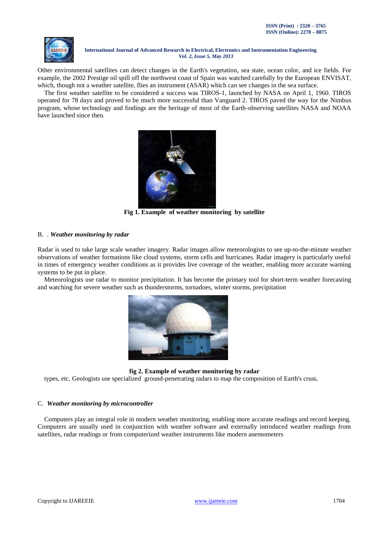

Other [environmental satellites](http://en.wikipedia.org/wiki/Environmental_satellite) can detect changes in the Earth's vegetation, [sea state,](http://en.wikipedia.org/wiki/Sea_state) ocean color, and ice fields. For example, the 2002 [Prestige oil spill](http://en.wikipedia.org/wiki/Prestige_oil_spill) off the northwest coast of Spain was watched carefully by the European [ENVISAT,](http://en.wikipedia.org/wiki/ENVISAT) which, though not a weather satellite, flies an instrument (ASAR) which can see changes in the sea surface.

The first weather satellite to be considered a success was [TIROS-1,](http://en.wikipedia.org/wiki/TIROS-1) launched by NASA on April 1, 1960. TIROS operated for 78 days and proved to be much more successful than Vanguard 2. TIROS paved the way for the [Nimbus](http://en.wikipedia.org/wiki/Nimbus_program)  [program,](http://en.wikipedia.org/wiki/Nimbus_program) whose technology and findings are the heritage of most of the Earth-observing satellites NASA and NOAA have launched since then.



**Fig 1. Example of weather monitoring by satellite**

# B. . *Weather monitoring by radar*

Radar is used to take large scale weather imagery. Radar images allow meteorologists to see up-to-the-minute weather observations of weather formations like cloud systems, storm cells and hurricanes. Radar imagery is particularly useful in times of emergency weather conditions as it provides live coverage of the weather, enabling more accurate warning systems to be put in place.

Meteorologists use radar to monitor [precipitation.](http://en.wikipedia.org/wiki/Precipitation_%28meteorology%29) It has become the primary tool for short-term [weather forecasting](http://en.wikipedia.org/wiki/Weather_forecast) and watching for [severe weather](http://en.wikipedia.org/wiki/Severe_weather) such a[s thunderstorms,](http://en.wikipedia.org/wiki/Thunderstorm) [tornadoes,](http://en.wikipedia.org/wiki/Tornado) [winter storms,](http://en.wikipedia.org/wiki/Winter_storm) precipitation



**fig 2. Example of weather monitoring by radar**

types, etc. [Geologists](http://en.wikipedia.org/wiki/Geologist) use specialized [ground-penetrating radars](http://en.wikipedia.org/wiki/Ground-penetrating_radar) to map the composition o[f Earth's crust](http://en.wikipedia.org/wiki/Crust_%28geology%29)**.**

# C. *Weather monitoring by microcontroller*

Computers play an integral role in modern weather monitoring, enabling more accurate readings and record keeping. Computers are usually used in conjunction with weather software and externally introduced weather readings from satellites, radar readings or from computerized weather instruments like modern anemometers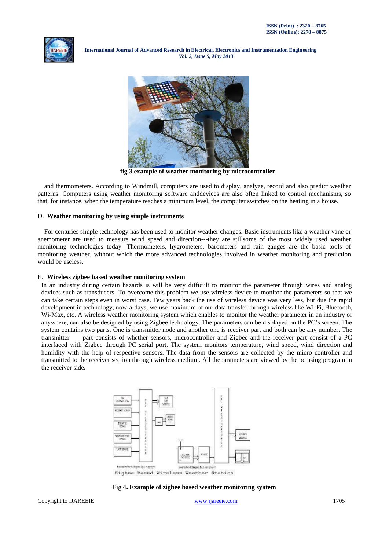



**fig 3 example of weather monitoring by microcontroller**

and thermometers. According to Windmill, computers are used to display, analyze, record and also predict weather patterns. Computers using weather monitoring software anddevices are also often linked to control mechanisms, so that, for instance, when the temperature reaches a minimum level, the computer switches on the heating in a house.

#### D. **Weather monitoring by using simple instruments**

For centuries simple technology has been used to monitor weather changes. Basic instruments like a weather vane or anemometer are used to measure wind speed and direction---they are stillsome of the most widely used weather monitoring technologies today. Thermometers, hygrometers, barometers and rain gauges are the basic tools of monitoring weather, without which the more advanced technologies involved in weather monitoring and prediction would be useless.

#### E. **Wireless zigbee based weather monitoring system**

In an industry during certain hazards is will be very difficult to monitor the parameter through wires and analog devices such as transducers. To overcome this problem we use wireless device to monitor the parameters so that we can take certain steps even in worst case. Few years back the use of wireless device was very less, but due the rapid development in technology, now-a-days, we use maximum of our data transfer through wireless like Wi-Fi, Bluetooth, Wi-Max, etc. A wireless weather monitoring system which enables to monitor the weather parameter in an industry or anywhere, can also be designed by using Zigbee technology. The parameters can be displayed on the PC's screen. The system contains two parts. One is transmitter node and another one is receiver part and both can be any number. The transmitter part consists of whether sensors, microcontroller and Zigbee and the receiver part consist of a PC interfaced with Zigbee through PC serial port. The system monitors temperature, wind speed, wind direction and humidity with the help of respective sensors. The data from the sensors are collected by the micro controller and transmitted to the receiver section through wireless medium. All theparameters are viewed by the pc using program in the receiver side**.**



Zigbee Based Wireless Weather Station

#### Fig 4**. Example of zigbee based weather monitoring syatem**

Copyright to IJAREEIE and the community of the community [www.ijareeie.com](http://www.ijareeie.com/) and the community of the community of the community of the community of the community of the community of the community of the community of the comm